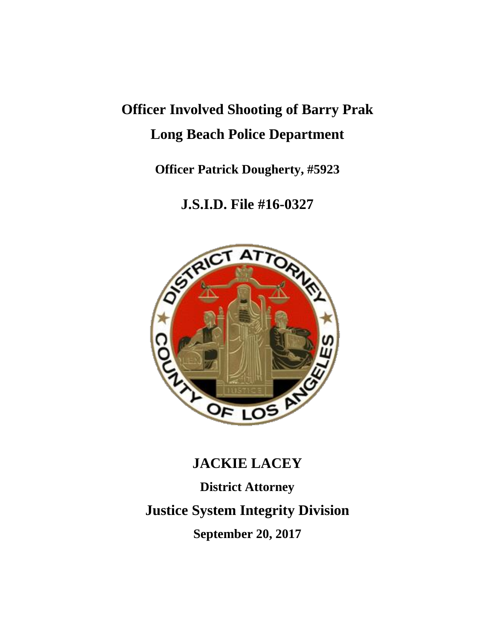# **Officer Involved Shooting of Barry Prak Long Beach Police Department**

**Officer Patrick Dougherty, #5923**

**J.S.I.D. File #16-0327**



# **JACKIE LACEY**

**District Attorney**

**Justice System Integrity Division**

**September 20, 2017**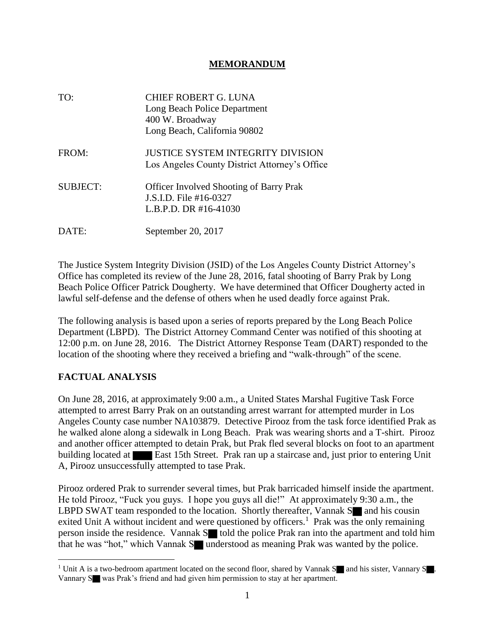#### **MEMORANDUM**

| TO:             | CHIEF ROBERT G. LUNA<br>Long Beach Police Department<br>400 W. Broadway<br>Long Beach, California 90802 |
|-----------------|---------------------------------------------------------------------------------------------------------|
| FROM:           | <b>JUSTICE SYSTEM INTEGRITY DIVISION</b><br>Los Angeles County District Attorney's Office               |
| <b>SUBJECT:</b> | <b>Officer Involved Shooting of Barry Prak</b><br>J.S.I.D. File #16-0327<br>L.B.P.D. DR #16-41030       |
| DATE:           | September 20, 2017                                                                                      |

The Justice System Integrity Division (JSID) of the Los Angeles County District Attorney's Office has completed its review of the June 28, 2016, fatal shooting of Barry Prak by Long Beach Police Officer Patrick Dougherty. We have determined that Officer Dougherty acted in lawful self-defense and the defense of others when he used deadly force against Prak.

The following analysis is based upon a series of reports prepared by the Long Beach Police Department (LBPD). The District Attorney Command Center was notified of this shooting at 12:00 p.m. on June 28, 2016. The District Attorney Response Team (DART) responded to the location of the shooting where they received a briefing and "walk-through" of the scene.

#### **FACTUAL ANALYSIS**

On June 28, 2016, at approximately 9:00 a.m., a United States Marshal Fugitive Task Force attempted to arrest Barry Prak on an outstanding arrest warrant for attempted murder in Los Angeles County case number NA103879. Detective Pirooz from the task force identified Prak as he walked alone along a sidewalk in Long Beach. Prak was wearing shorts and a T-shirt. Pirooz and another officer attempted to detain Prak, but Prak fled several blocks on foot to an apartment building located at **East 15th Street.** Prak ran up a staircase and, just prior to entering Unit A, Pirooz unsuccessfully attempted to tase Prak.

Pirooz ordered Prak to surrender several times, but Prak barricaded himself inside the apartment. He told Pirooz, "Fuck you guys. I hope you guys all die!" At approximately 9:30 a.m., the LBPD SWAT team responded to the location. Shortly thereafter, Vannak  $S$  and his cousin exited Unit A without incident and were questioned by officers.<sup>1</sup> Prak was the only remaining person inside the residence. Vannak  $S$  told the police Prak ran into the apartment and told him that he was "hot," which Vannak Sounderstood as meaning Prak was wanted by the police.

<sup>&</sup>lt;sup>1</sup> Unit A is a two-bedroom apartment located on the second floor, shared by Vannak S and his sister, Vannary S . Vannary S was Prak's friend and had given him permission to stay at her apartment.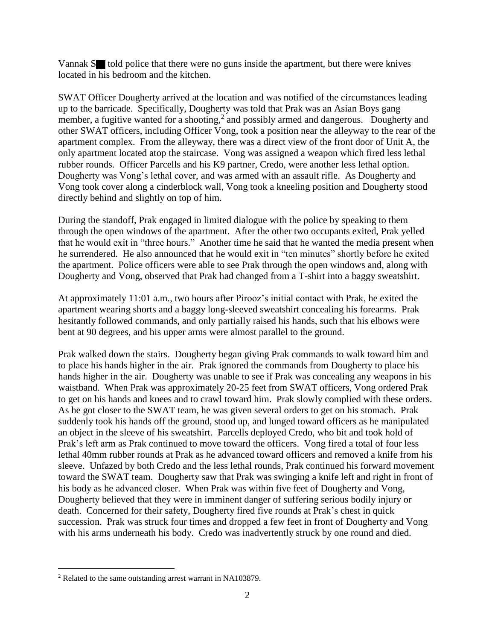Vannak  $S$  told police that there were no guns inside the apartment, but there were knives located in his bedroom and the kitchen.

SWAT Officer Dougherty arrived at the location and was notified of the circumstances leading up to the barricade. Specifically, Dougherty was told that Prak was an Asian Boys gang member, a fugitive wanted for a shooting,<sup>2</sup> and possibly armed and dangerous. Dougherty and other SWAT officers, including Officer Vong, took a position near the alleyway to the rear of the apartment complex. From the alleyway, there was a direct view of the front door of Unit A, the only apartment located atop the staircase. Vong was assigned a weapon which fired less lethal rubber rounds. Officer Parcells and his K9 partner, Credo, were another less lethal option. Dougherty was Vong's lethal cover, and was armed with an assault rifle. As Dougherty and Vong took cover along a cinderblock wall, Vong took a kneeling position and Dougherty stood directly behind and slightly on top of him.

During the standoff, Prak engaged in limited dialogue with the police by speaking to them through the open windows of the apartment. After the other two occupants exited, Prak yelled that he would exit in "three hours." Another time he said that he wanted the media present when he surrendered. He also announced that he would exit in "ten minutes" shortly before he exited the apartment. Police officers were able to see Prak through the open windows and, along with Dougherty and Vong, observed that Prak had changed from a T-shirt into a baggy sweatshirt.

At approximately 11:01 a.m., two hours after Pirooz's initial contact with Prak, he exited the apartment wearing shorts and a baggy long-sleeved sweatshirt concealing his forearms. Prak hesitantly followed commands, and only partially raised his hands, such that his elbows were bent at 90 degrees, and his upper arms were almost parallel to the ground.

Prak walked down the stairs. Dougherty began giving Prak commands to walk toward him and to place his hands higher in the air. Prak ignored the commands from Dougherty to place his hands higher in the air. Dougherty was unable to see if Prak was concealing any weapons in his waistband. When Prak was approximately 20-25 feet from SWAT officers, Vong ordered Prak to get on his hands and knees and to crawl toward him. Prak slowly complied with these orders. As he got closer to the SWAT team, he was given several orders to get on his stomach. Prak suddenly took his hands off the ground, stood up, and lunged toward officers as he manipulated an object in the sleeve of his sweatshirt. Parcells deployed Credo, who bit and took hold of Prak's left arm as Prak continued to move toward the officers. Vong fired a total of four less lethal 40mm rubber rounds at Prak as he advanced toward officers and removed a knife from his sleeve. Unfazed by both Credo and the less lethal rounds, Prak continued his forward movement toward the SWAT team. Dougherty saw that Prak was swinging a knife left and right in front of his body as he advanced closer. When Prak was within five feet of Dougherty and Vong, Dougherty believed that they were in imminent danger of suffering serious bodily injury or death. Concerned for their safety, Dougherty fired five rounds at Prak's chest in quick succession. Prak was struck four times and dropped a few feet in front of Dougherty and Vong with his arms underneath his body. Credo was inadvertently struck by one round and died.

<sup>2</sup> Related to the same outstanding arrest warrant in NA103879.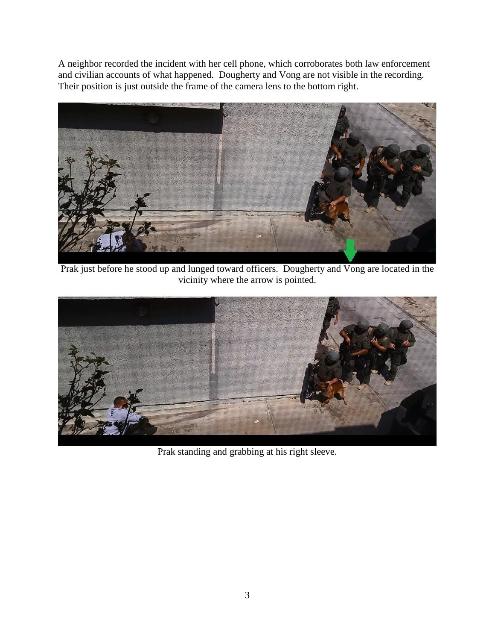A neighbor recorded the incident with her cell phone, which corroborates both law enforcement and civilian accounts of what happened. Dougherty and Vong are not visible in the recording. Their position is just outside the frame of the camera lens to the bottom right.



Prak just before he stood up and lunged toward officers. Dougherty and Vong are located in the vicinity where the arrow is pointed.



Prak standing and grabbing at his right sleeve.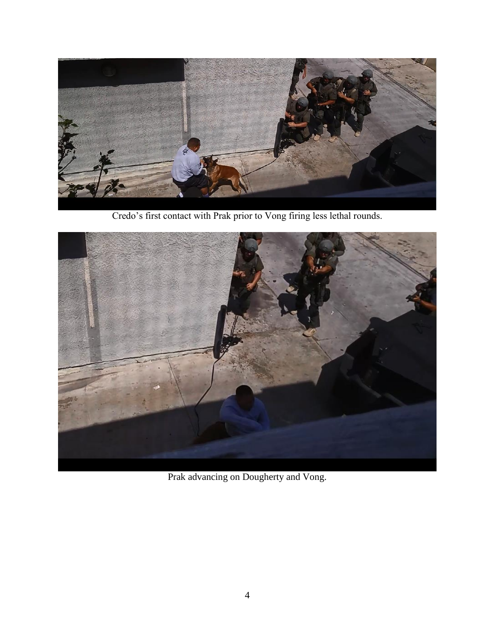

Credo's first contact with Prak prior to Vong firing less lethal rounds.



Prak advancing on Dougherty and Vong.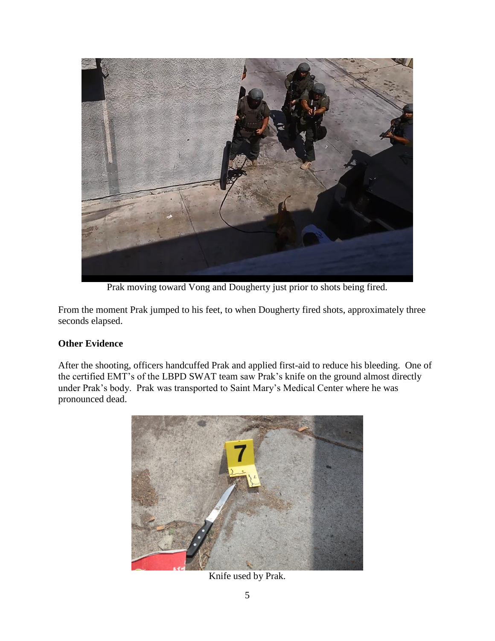

Prak moving toward Vong and Dougherty just prior to shots being fired.

From the moment Prak jumped to his feet, to when Dougherty fired shots, approximately three seconds elapsed.

## **Other Evidence**

After the shooting, officers handcuffed Prak and applied first-aid to reduce his bleeding. One of the certified EMT's of the LBPD SWAT team saw Prak's knife on the ground almost directly under Prak's body. Prak was transported to Saint Mary's Medical Center where he was pronounced dead.



Knife used by Prak.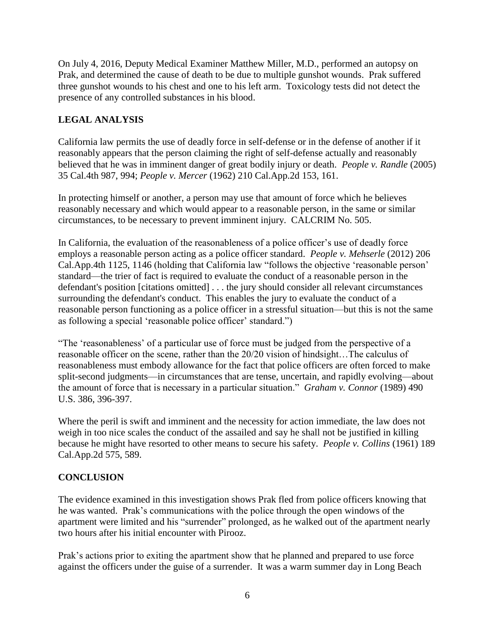On July 4, 2016, Deputy Medical Examiner Matthew Miller, M.D., performed an autopsy on Prak, and determined the cause of death to be due to multiple gunshot wounds. Prak suffered three gunshot wounds to his chest and one to his left arm. Toxicology tests did not detect the presence of any controlled substances in his blood.

### **LEGAL ANALYSIS**

California law permits the use of deadly force in self-defense or in the defense of another if it reasonably appears that the person claiming the right of self-defense actually and reasonably believed that he was in imminent danger of great bodily injury or death. *People v. Randle* (2005) 35 Cal.4th 987, 994; *People v. Mercer* (1962) 210 Cal.App.2d 153, 161.

In protecting himself or another, a person may use that amount of force which he believes reasonably necessary and which would appear to a reasonable person, in the same or similar circumstances, to be necessary to prevent imminent injury. CALCRIM No. 505.

In California, the evaluation of the reasonableness of a police officer's use of deadly force employs a reasonable person acting as a police officer standard. *People v. Mehserle* (2012) 206 Cal.App.4th 1125, 1146 (holding that California law "follows the objective 'reasonable person' standard—the trier of fact is required to evaluate the conduct of a reasonable person in the defendant's position [citations omitted] . . . the jury should consider all relevant circumstances surrounding the defendant's conduct. This enables the jury to evaluate the conduct of a reasonable person functioning as a police officer in a stressful situation—but this is not the same as following a special 'reasonable police officer' standard.")

"The 'reasonableness' of a particular use of force must be judged from the perspective of a reasonable officer on the scene, rather than the 20/20 vision of hindsight…The calculus of reasonableness must embody allowance for the fact that police officers are often forced to make split-second judgments—in circumstances that are tense, uncertain, and rapidly evolving—about the amount of force that is necessary in a particular situation." *Graham v. Connor* (1989) 490 U.S. 386, 396-397.

Where the peril is swift and imminent and the necessity for action immediate, the law does not weigh in too nice scales the conduct of the assailed and say he shall not be justified in killing because he might have resorted to other means to secure his safety. *People v. Collins* (1961) 189 Cal.App.2d 575, 589.

#### **CONCLUSION**

The evidence examined in this investigation shows Prak fled from police officers knowing that he was wanted. Prak's communications with the police through the open windows of the apartment were limited and his "surrender" prolonged, as he walked out of the apartment nearly two hours after his initial encounter with Pirooz.

Prak's actions prior to exiting the apartment show that he planned and prepared to use force against the officers under the guise of a surrender. It was a warm summer day in Long Beach